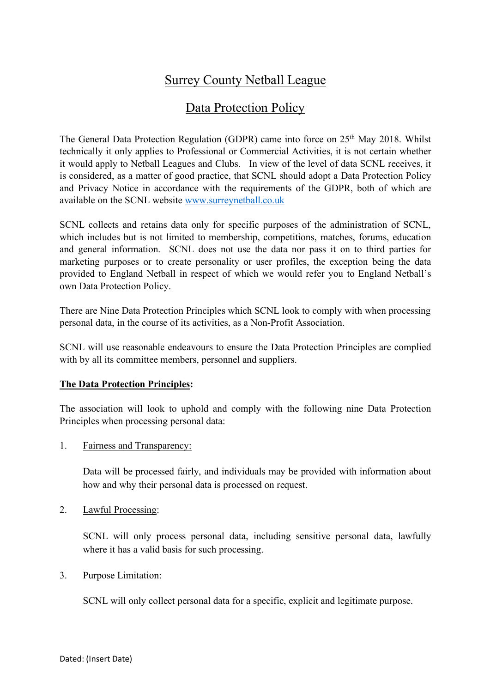# Surrey County Netball League

## Data Protection Policy

The General Data Protection Regulation (GDPR) came into force on 25<sup>th</sup> May 2018. Whilst technically it only applies to Professional or Commercial Activities, it is not certain whether it would apply to Netball Leagues and Clubs. In view of the level of data SCNL receives, it is considered, as a matter of good practice, that SCNL should adopt a Data Protection Policy and Privacy Notice in accordance with the requirements of the GDPR, both of which are available on the SCNL website www.surreynetball.co.uk

SCNL collects and retains data only for specific purposes of the administration of SCNL, which includes but is not limited to membership, competitions, matches, forums, education and general information. SCNL does not use the data nor pass it on to third parties for marketing purposes or to create personality or user profiles, the exception being the data provided to England Netball in respect of which we would refer you to England Netball's own Data Protection Policy.

There are Nine Data Protection Principles which SCNL look to comply with when processing personal data, in the course of its activities, as a Non-Profit Association.

SCNL will use reasonable endeavours to ensure the Data Protection Principles are complied with by all its committee members, personnel and suppliers.

## **The Data Protection Principles:**

The association will look to uphold and comply with the following nine Data Protection Principles when processing personal data:

1. Fairness and Transparency:

Data will be processed fairly, and individuals may be provided with information about how and why their personal data is processed on request.

2. Lawful Processing:

SCNL will only process personal data, including sensitive personal data, lawfully where it has a valid basis for such processing.

3. Purpose Limitation:

SCNL will only collect personal data for a specific, explicit and legitimate purpose.